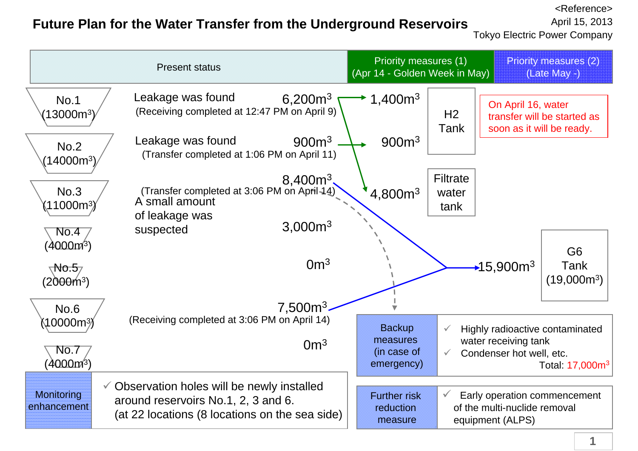## **Future Plan for the Water Transfer from the Underground Reservoirs**

<Reference>April 15, 2013

Tokyo Electric Power Company

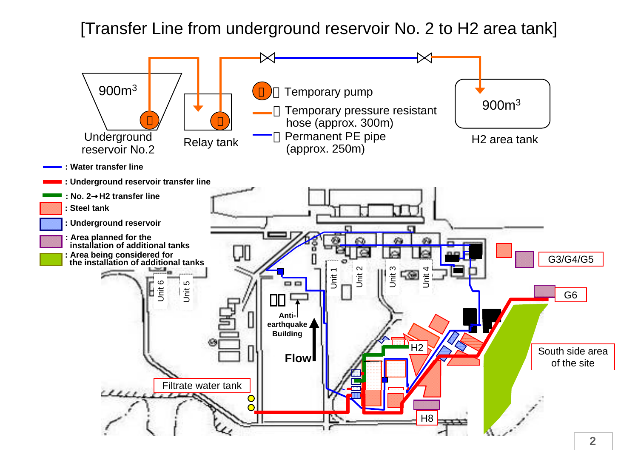[Transfer Line from underground reservoir No. 2 to H2 area tank]